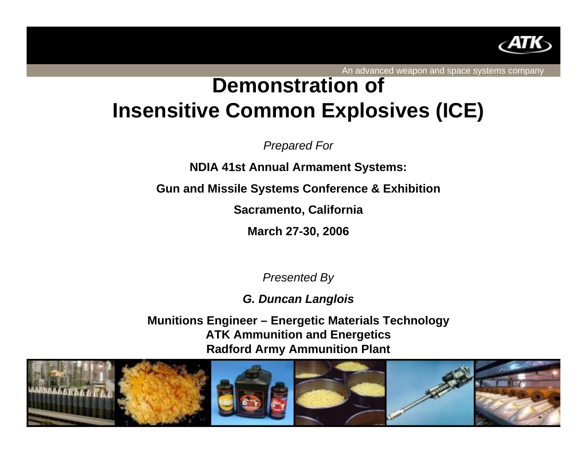

An advanced weapon and space systems company

## **Demonstration of Insensitive Common Explosives (ICE)**

*Prepared For*

**NDIA 41st Annual Armament Systems:**

**Gun and Missile Systems Conference & Exhibition**

**Sacramento, California**

**March 27-30, 2006**

*Presented By*

*G. Duncan Langlois*

**Munitions Engineer – Energetic Materials Technology ATK Ammunition and Energetics Radford Army Ammunition Plant**

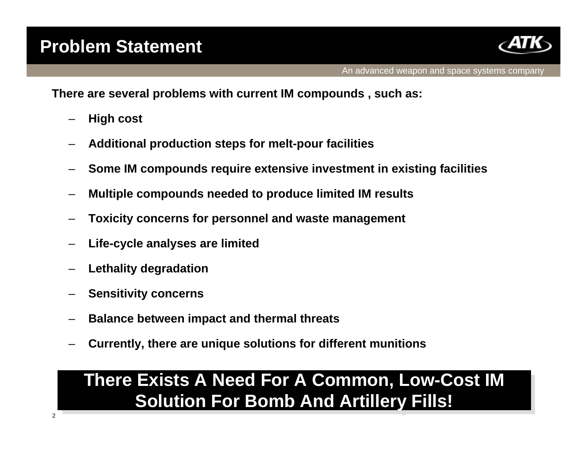

**There are several problems with current IM compounds , such as:**

- **High cost**
- **Additional production steps for melt-pour facilities**
- **Some IM compounds require extensive investment in existing facilities**
- **Multiple compounds needed to produce limited IM results**
- **Toxicity concerns for personnel and waste management**
- **Life-cycle analyses are limited**
- **Lethality degradation**
- **Sensitivity concerns**
- **Balance between impact and thermal threats**
- **Currently, there are unique solutions for different munitions**

## **There Exists A Need For A Common, Low-Cost IM There Exists A Need For A Common, Low-Cost IM Solution For Bomb And Artillery Fills! Solution For Bomb And Artillery Fills!**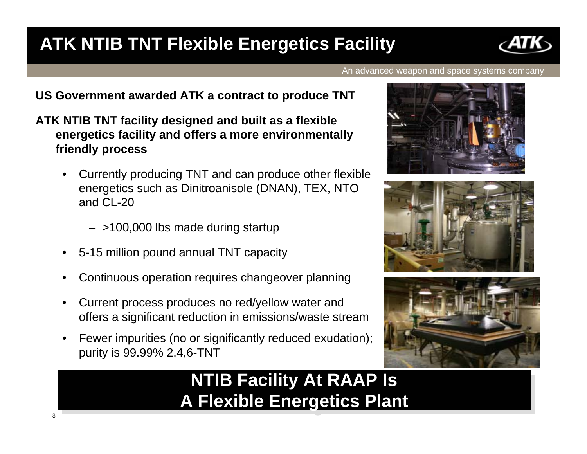### **ATK NTIB TNT Flexible Energetics Facility**



An advanced weapon and space systems company

#### **US Government awarded ATK a contract to produce TNT**

- **ATK NTIB TNT facility designed and built as a flexible energetics facility and offers a more environmentally friendly process**
	- • Currently producing TNT and can produce other flexible energetics such as Dinitroanisole (DNAN), TEX, NTO and CL-20
		- >100,000 lbs made during startup
	- •5-15 million pound annual TNT capacity

3

- •Continuous operation requires changeover planning
- • Current process produces no red/yellow water and offers a significant reduction in emissions/waste stream
- • Fewer impurities (no or significantly reduced exudation); purity is 99.99% 2,4,6-TNT

## **NTIB Facility At RAAP Is NTIB Facility At RAAP Is A Flexible Energetics Plant A Flexible Energetics Plant**





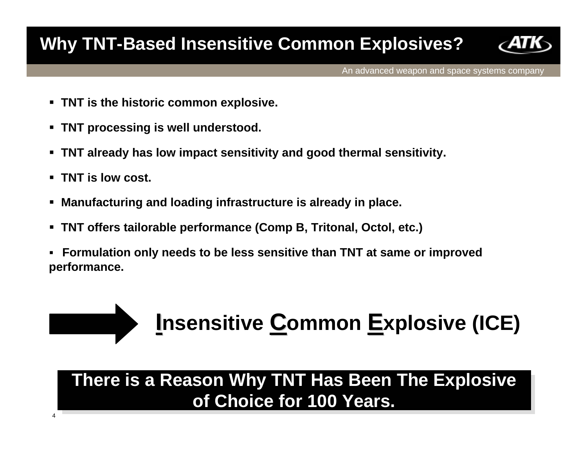### **Why TNT-Based Insensitive Common Explosives?**



An advanced weapon and space systems company

- **TNT is the historic common explosive.**
- **TNT processing is well understood.**
- **TNT already has low impact sensitivity and good thermal sensitivity.**
- **TNT is low cost.**

4

- **Manufacturing and loading infrastructure is already in place.**
- $\blacksquare$ **TNT offers tailorable performance (Comp B, Tritonal, Octol, etc.)**
- $\blacksquare$  **Formulation only needs to be less sensitive than TNT at same or improved performance.**



### **There is a Reason Why TNT Has Been The Explosive There is a Reason Why TNT Has Been The Explosive of Choice for 100 Years. of Choice for 100 Years.**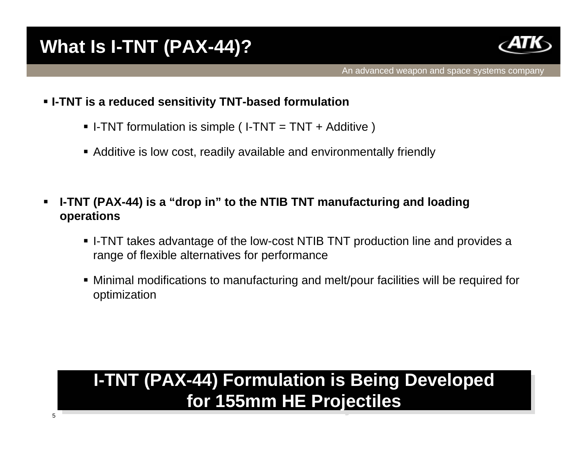

- **I-TNT is a reduced sensitivity TNT-based formulation**
	- I-TNT formulation is simple ( I-TNT = TNT + Additive )
	- Additive is low cost, readily available and environmentally friendly
- $\blacksquare$  **I-TNT (PAX-44) is a "drop in" to the NTIB TNT manufacturing and loading operations**
	- I-TNT takes advantage of the low-cost NTIB TNT production line and provides a range of flexible alternatives for performance
	- Minimal modifications to manufacturing and melt/pour facilities will be required for optimization

## **I-TNT (PAX-44) Formulation is Being Developed I-TNT (PAX-44) Formulation is Being Developed for 155mm HE Projectiles for 155mm HE Projectiles**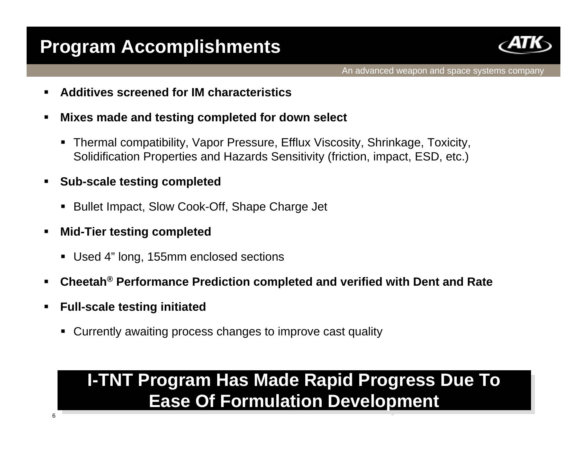## **Program Accomplishments**



- **Additives screened for IM characteristics**
- $\blacksquare$  **Mixes made and testing completed for down select**
	- Thermal compatibility, Vapor Pressure, Efflux Viscosity, Shrinkage, Toxicity, Solidification Properties and Hazards Sensitivity (friction, impact, ESD, etc.)
- **Sub-scale testing completed**
	- Bullet Impact, Slow Cook-Off, Shape Charge Jet
- **Mid-Tier testing completed**
	- Used 4" long, 155mm enclosed sections
- **Cheetah® Performance Prediction completed and verified with Dent and Rate**
- $\blacksquare$  **Full-scale testing initiated**
	- Currently awaiting process changes to improve cast quality

## **I-TNT Program Has Made Rapid Progress Due To I-TNT Program Has Made Rapid Progress Due To Ease Of Formulation Development Ease Of Formulation Development**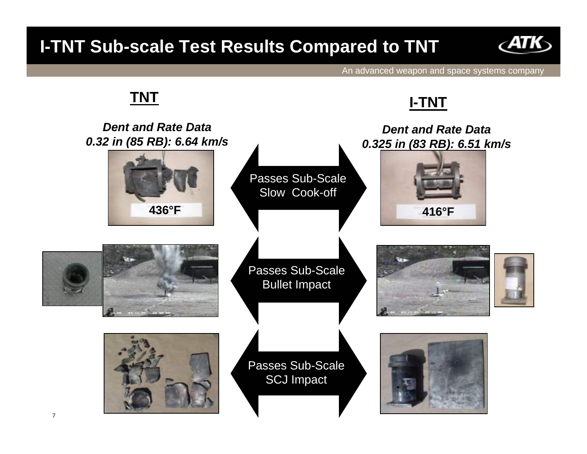### **I-TNT Sub-scale Test Results Compared to TNT**

**TNT**



An advanced weapon and space systems company

# Passes Sub-Scale Bullet Impact **436°F**Passes Sub-Scale Slow Cook-off **416°F***Dent and Rate Data0.32 in (85 RB): 6.64 km/s Dent and Rate Data 0.325 in (83 RB): 6.51 km/s* Passes Sub-Scale SCJ Impact **I-TNT**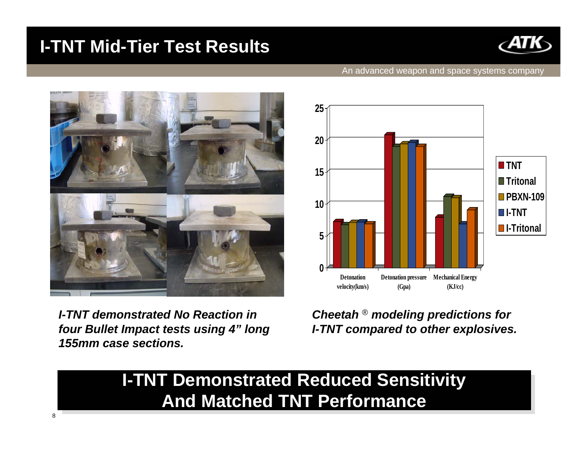### **I-TNT Mid-Tier Test Results**



#### An advanced weapon and space systems company



*I-TNT demonstrated No Reaction in four Bullet Impact tests using 4" long 155mm case sections.*



*Cheetah* ® *modeling predictions for I-TNT compared to other explosives.*

#### **I-TNT Demonstrated Reduced Sensitivity I-TNT Demonstrated Reduced Sensitivity <u>And Matched TNT Performance</u>**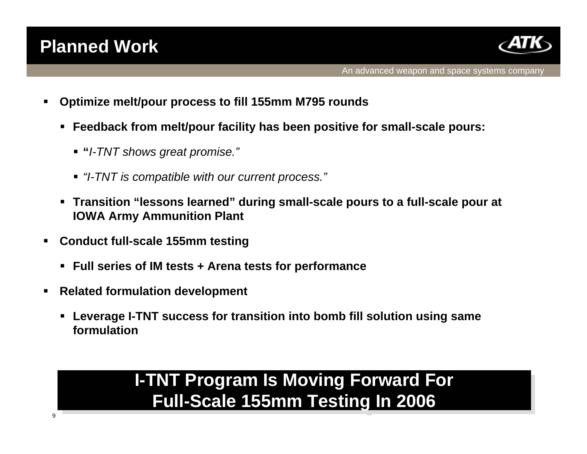### **Planned Work**



- $\blacksquare$  **Optimize melt/pour process to fill 155mm M795 rounds**
	- **Feedback from melt/pour facility has been positive for small-scale pours:** 
		- **"***I-TNT shows great promise."*
		- *"I-TNT is compatible with our current process."*
	- **Transition "lessons learned" during small-scale pours to a full-scale pour at IOWA Army Ammunition Plant**
- $\blacksquare$  **Conduct full-scale 155mm testing**
	- **Full series of IM tests + Arena tests for performance**
- $\blacksquare$  **Related formulation development**
	- **Leverage I-TNT success for transition into bomb fill solution using same formulation**

## **I-TNT Program Is Moving Forward For I-TNT Program Is Moving Forward For Full-Scale 155mm Testing In 2006 Full-Scale 155mm Testing In 2006**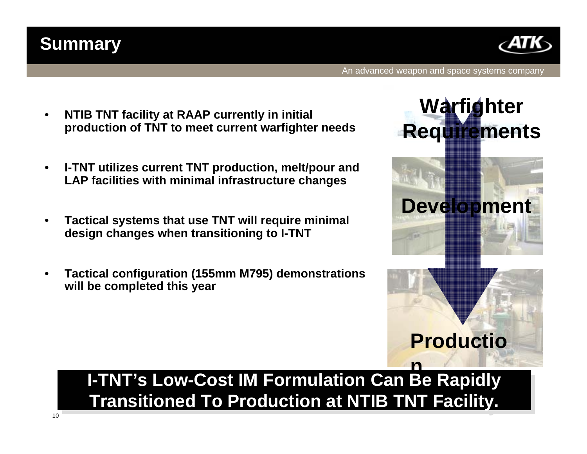# **I-TNT's Low-Cost IM Formulation Can Be Rapidly I-TNT's Low-Cost IM Formulation Can Be Rapidly Transitioned To Production at NTIB TNT Facility. Transitioned To Production at NTIB TNT Facility.**

- • **Tactical configuration (155mm M795) demonstrations will be completed this year**
- • **Tactical systems that use TNT will require minimal design changes when transitioning to I-TNT**
- $\bullet$  **I-TNT utilizes current TNT production, melt/pour and LAP facilities with minimal infrastructure changes**
- • **NTIB TNT facility at RAAP currently in initial production of TNT to meet current warfighter needs**



**Summary**



An advanced weapon and space systems company